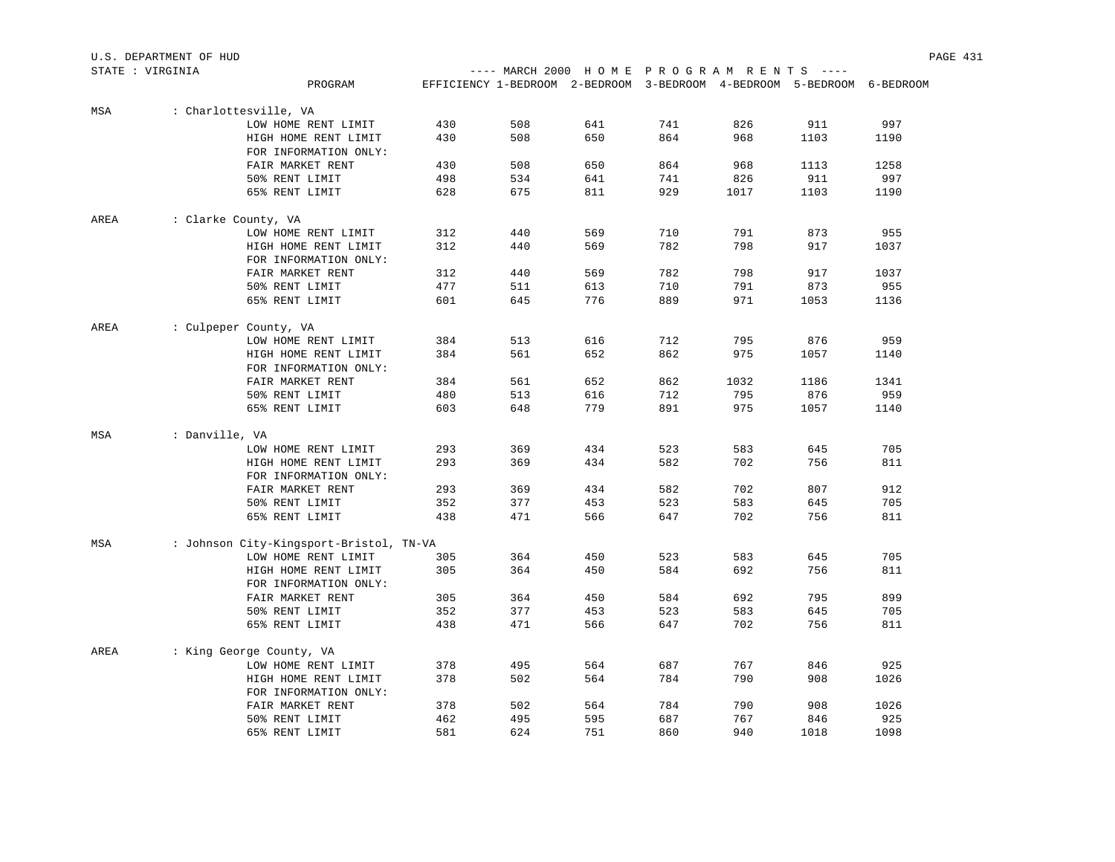|                  | U.S. DEPARTMENT OF HUD |                                         |            |            |            |     |                                                                        |            | PAGE 431    |  |
|------------------|------------------------|-----------------------------------------|------------|------------|------------|-----|------------------------------------------------------------------------|------------|-------------|--|
| STATE : VIRGINIA |                        |                                         |            |            |            |     | ---- MARCH 2000 HOME PROGRAM RENTS ----                                |            |             |  |
|                  |                        | PROGRAM                                 |            |            |            |     | EFFICIENCY 1-BEDROOM 2-BEDROOM 3-BEDROOM 4-BEDROOM 5-BEDROOM 6-BEDROOM |            |             |  |
| MSA              |                        | : Charlottesville, VA                   |            |            |            |     |                                                                        |            |             |  |
|                  |                        | LOW HOME RENT LIMIT                     | 430        | 508        | 641        | 741 | 826                                                                    | 911        | 997         |  |
|                  |                        | HIGH HOME RENT LIMIT                    | 430        | 508        | 650        | 864 | 968                                                                    | 1103       | 1190        |  |
|                  |                        | FOR INFORMATION ONLY:                   |            |            |            |     |                                                                        |            |             |  |
|                  |                        | FAIR MARKET RENT                        | 430        | 508        | 650        | 864 | 968                                                                    | 1113       | 1258        |  |
|                  |                        | 50% RENT LIMIT                          | 498        | 534        | 641        | 741 | 826                                                                    | 911        | 997         |  |
|                  |                        | 65% RENT LIMIT                          | 628        | 675        | 811        | 929 | 1017                                                                   | 1103       | 1190        |  |
| AREA             | : Clarke County, VA    |                                         |            |            |            |     |                                                                        |            |             |  |
|                  |                        | LOW HOME RENT LIMIT                     | 312        | 440        | 569        | 710 | 791                                                                    | 873        | 955         |  |
|                  |                        | HIGH HOME RENT LIMIT                    | 312        | 440        | 569        | 782 | 798                                                                    | 917        | 1037        |  |
|                  |                        | FOR INFORMATION ONLY:                   |            |            |            | 782 | 798                                                                    |            |             |  |
|                  |                        | FAIR MARKET RENT<br>50% RENT LIMIT      | 312<br>477 | 440<br>511 | 569<br>613 | 710 | 791                                                                    | 917<br>873 | 1037<br>955 |  |
|                  |                        | 65% RENT LIMIT                          | 601        | 645        | 776        | 889 | 971                                                                    | 1053       | 1136        |  |
|                  |                        |                                         |            |            |            |     |                                                                        |            |             |  |
| AREA             |                        | : Culpeper County, VA                   |            |            |            |     |                                                                        |            |             |  |
|                  |                        | LOW HOME RENT LIMIT                     | 384        | 513        | 616        | 712 | 795                                                                    | 876        | 959         |  |
|                  |                        | HIGH HOME RENT LIMIT                    | 384        | 561        | 652        | 862 | 975                                                                    | 1057       | 1140        |  |
|                  |                        | FOR INFORMATION ONLY:                   |            |            |            |     |                                                                        |            |             |  |
|                  |                        | FAIR MARKET RENT                        | 384        | 561        | 652        | 862 | 1032                                                                   | 1186       | 1341        |  |
|                  |                        | 50% RENT LIMIT                          | 480        | 513        | 616        | 712 | 795                                                                    | 876        | 959         |  |
|                  |                        | 65% RENT LIMIT                          | 603        | 648        | 779        | 891 | 975                                                                    | 1057       | 1140        |  |
| MSA              | : Danville, VA         |                                         |            |            |            |     |                                                                        |            |             |  |
|                  |                        | LOW HOME RENT LIMIT                     | 293        | 369        | 434        | 523 | 583                                                                    | 645        | 705         |  |
|                  |                        | HIGH HOME RENT LIMIT                    | 293        | 369        | 434        | 582 | 702                                                                    | 756        | 811         |  |
|                  |                        | FOR INFORMATION ONLY:                   |            |            |            |     |                                                                        |            |             |  |
|                  |                        | FAIR MARKET RENT                        | 293        | 369        | 434        | 582 | 702                                                                    | 807        | 912         |  |
|                  |                        | 50% RENT LIMIT                          | 352        | 377        | 453        | 523 | 583                                                                    | 645        | 705         |  |
|                  |                        | 65% RENT LIMIT                          | 438        | 471        | 566        | 647 | 702                                                                    | 756        | 811         |  |
| MSA              |                        | : Johnson City-Kingsport-Bristol, TN-VA |            |            |            |     |                                                                        |            |             |  |
|                  |                        | LOW HOME RENT LIMIT                     | 305        | 364        | 450        | 523 | 583                                                                    | 645        | 705         |  |
|                  |                        | HIGH HOME RENT LIMIT                    | 305        | 364        | 450        | 584 | 692                                                                    | 756        | 811         |  |
|                  |                        | FOR INFORMATION ONLY:                   |            |            |            |     |                                                                        |            |             |  |
|                  |                        | FAIR MARKET RENT                        | 305        | 364        | 450        | 584 | 692                                                                    | 795        | 899         |  |
|                  |                        | 50% RENT LIMIT                          | 352        | 377        | 453        | 523 | 583                                                                    | 645        | 705         |  |
|                  |                        | 65% RENT LIMIT                          | 438        | 471        | 566        | 647 | 702                                                                    | 756        | 811         |  |
| AREA             |                        | : King George County, VA                |            |            |            |     |                                                                        |            |             |  |
|                  |                        | LOW HOME RENT LIMIT                     | 378        | 495        | 564        | 687 | 767                                                                    | 846        | 925         |  |
|                  |                        | HIGH HOME RENT LIMIT                    | 378        | 502        | 564        | 784 | 790                                                                    | 908        | 1026        |  |
|                  |                        | FOR INFORMATION ONLY:                   |            |            |            |     |                                                                        |            |             |  |
|                  |                        | FAIR MARKET RENT                        | 378        | 502        | 564        | 784 | 790                                                                    | 908        | 1026        |  |
|                  |                        | 50% RENT LIMIT                          | 462        | 495        | 595        | 687 | 767                                                                    | 846        | 925         |  |
|                  |                        | 65% RENT LIMIT                          | 581        | 624        | 751        | 860 | 940                                                                    | 1018       | 1098        |  |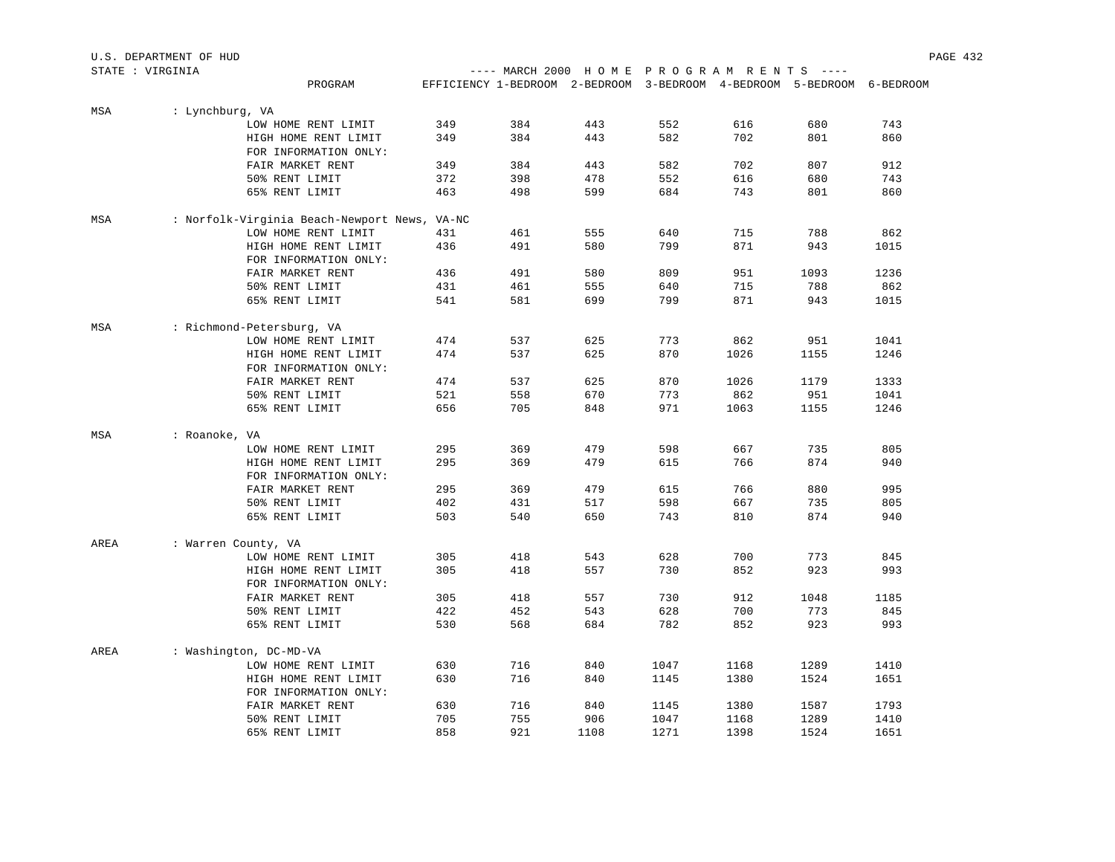|                  | U.S. DEPARTMENT OF HUD |                                              |     |     |            |            |                                                                        |      | PAGE 432    |  |
|------------------|------------------------|----------------------------------------------|-----|-----|------------|------------|------------------------------------------------------------------------|------|-------------|--|
| STATE : VIRGINIA |                        |                                              |     |     |            |            | ---- MARCH 2000 HOME PROGRAM RENTS ----                                |      |             |  |
|                  |                        | PROGRAM                                      |     |     |            |            | EFFICIENCY 1-BEDROOM 2-BEDROOM 3-BEDROOM 4-BEDROOM 5-BEDROOM 6-BEDROOM |      |             |  |
| MSA              | : Lynchburg, VA        |                                              |     |     |            |            |                                                                        |      |             |  |
|                  |                        | LOW HOME RENT LIMIT                          | 349 | 384 | 443        | 552        | 616                                                                    | 680  | 743         |  |
|                  |                        | HIGH HOME RENT LIMIT                         | 349 | 384 | 443        | 582        | 702                                                                    | 801  | 860         |  |
|                  |                        | FOR INFORMATION ONLY:                        |     |     |            |            |                                                                        |      |             |  |
|                  |                        | FAIR MARKET RENT                             | 349 | 384 | 443        | 582        | 702                                                                    | 807  | 912         |  |
|                  |                        | 50% RENT LIMIT                               | 372 | 398 | 478        | 552        | 616                                                                    | 680  | 743         |  |
|                  |                        | 65% RENT LIMIT                               | 463 | 498 | 599        | 684        | 743                                                                    | 801  | 860         |  |
| MSA              |                        | : Norfolk-Virginia Beach-Newport News, VA-NC |     |     |            |            |                                                                        |      |             |  |
|                  |                        | LOW HOME RENT LIMIT                          | 431 | 461 | 555        | 640        | 715                                                                    | 788  | 862         |  |
|                  |                        | HIGH HOME RENT LIMIT                         | 436 | 491 | 580        | 799        | 871                                                                    | 943  | 1015        |  |
|                  |                        | FOR INFORMATION ONLY:                        |     |     |            |            |                                                                        |      |             |  |
|                  |                        | FAIR MARKET RENT                             | 436 | 491 | 580        | 809        | 951                                                                    | 1093 | 1236<br>862 |  |
|                  |                        | 50% RENT LIMIT                               | 431 | 461 | 555<br>699 | 640<br>799 | 715                                                                    | 788  |             |  |
|                  |                        | 65% RENT LIMIT                               | 541 | 581 |            |            | 871                                                                    | 943  | 1015        |  |
| MSA              |                        | : Richmond-Petersburg, VA                    |     |     |            |            |                                                                        |      |             |  |
|                  |                        | LOW HOME RENT LIMIT                          | 474 | 537 | 625        | 773        | 862                                                                    | 951  | 1041        |  |
|                  |                        | HIGH HOME RENT LIMIT                         | 474 | 537 | 625        | 870        | 1026                                                                   | 1155 | 1246        |  |
|                  |                        | FOR INFORMATION ONLY:                        |     |     |            |            |                                                                        |      |             |  |
|                  |                        | FAIR MARKET RENT                             | 474 | 537 | 625        | 870        | 1026                                                                   | 1179 | 1333        |  |
|                  |                        | 50% RENT LIMIT                               | 521 | 558 | 670        | 773        | 862                                                                    | 951  | 1041        |  |
|                  |                        | 65% RENT LIMIT                               | 656 | 705 | 848        | 971        | 1063                                                                   | 1155 | 1246        |  |
| MSA              | : Roanoke, VA          |                                              |     |     |            |            |                                                                        |      |             |  |
|                  |                        | LOW HOME RENT LIMIT                          | 295 | 369 | 479        | 598        | 667                                                                    | 735  | 805         |  |
|                  |                        | HIGH HOME RENT LIMIT                         | 295 | 369 | 479        | 615        | 766                                                                    | 874  | 940         |  |
|                  |                        | FOR INFORMATION ONLY:                        |     |     |            |            |                                                                        |      |             |  |
|                  |                        | FAIR MARKET RENT                             | 295 | 369 | 479        | 615        | 766                                                                    | 880  | 995         |  |
|                  |                        | 50% RENT LIMIT                               | 402 | 431 | 517        | 598        | 667                                                                    | 735  | 805         |  |
|                  |                        | 65% RENT LIMIT                               | 503 | 540 | 650        | 743        | 810                                                                    | 874  | 940         |  |
| AREA             | : Warren County, VA    |                                              |     |     |            |            |                                                                        |      |             |  |
|                  |                        | LOW HOME RENT LIMIT                          | 305 | 418 | 543        | 628        | 700                                                                    | 773  | 845         |  |
|                  |                        | HIGH HOME RENT LIMIT                         | 305 | 418 | 557        | 730        | 852                                                                    | 923  | 993         |  |
|                  |                        | FOR INFORMATION ONLY:                        |     |     |            |            |                                                                        |      |             |  |
|                  |                        | FAIR MARKET RENT                             | 305 | 418 | 557        | 730        | 912                                                                    | 1048 | 1185        |  |
|                  |                        | 50% RENT LIMIT                               | 422 | 452 | 543        | 628        | 700                                                                    | 773  | 845         |  |
|                  |                        | 65% RENT LIMIT                               | 530 | 568 | 684        | 782        | 852                                                                    | 923  | 993         |  |
| AREA             |                        | : Washington, DC-MD-VA                       |     |     |            |            |                                                                        |      |             |  |
|                  |                        | LOW HOME RENT LIMIT                          | 630 | 716 | 840        | 1047       | 1168                                                                   | 1289 | 1410        |  |
|                  |                        | HIGH HOME RENT LIMIT                         | 630 | 716 | 840        | 1145       | 1380                                                                   | 1524 | 1651        |  |
|                  |                        | FOR INFORMATION ONLY:                        |     |     |            |            |                                                                        |      |             |  |
|                  |                        | FAIR MARKET RENT                             | 630 | 716 | 840        | 1145       | 1380                                                                   | 1587 | 1793        |  |
|                  |                        | 50% RENT LIMIT                               | 705 | 755 | 906        | 1047       | 1168                                                                   | 1289 | 1410        |  |
|                  |                        | 65% RENT LIMIT                               | 858 | 921 | 1108       | 1271       | 1398                                                                   | 1524 | 1651        |  |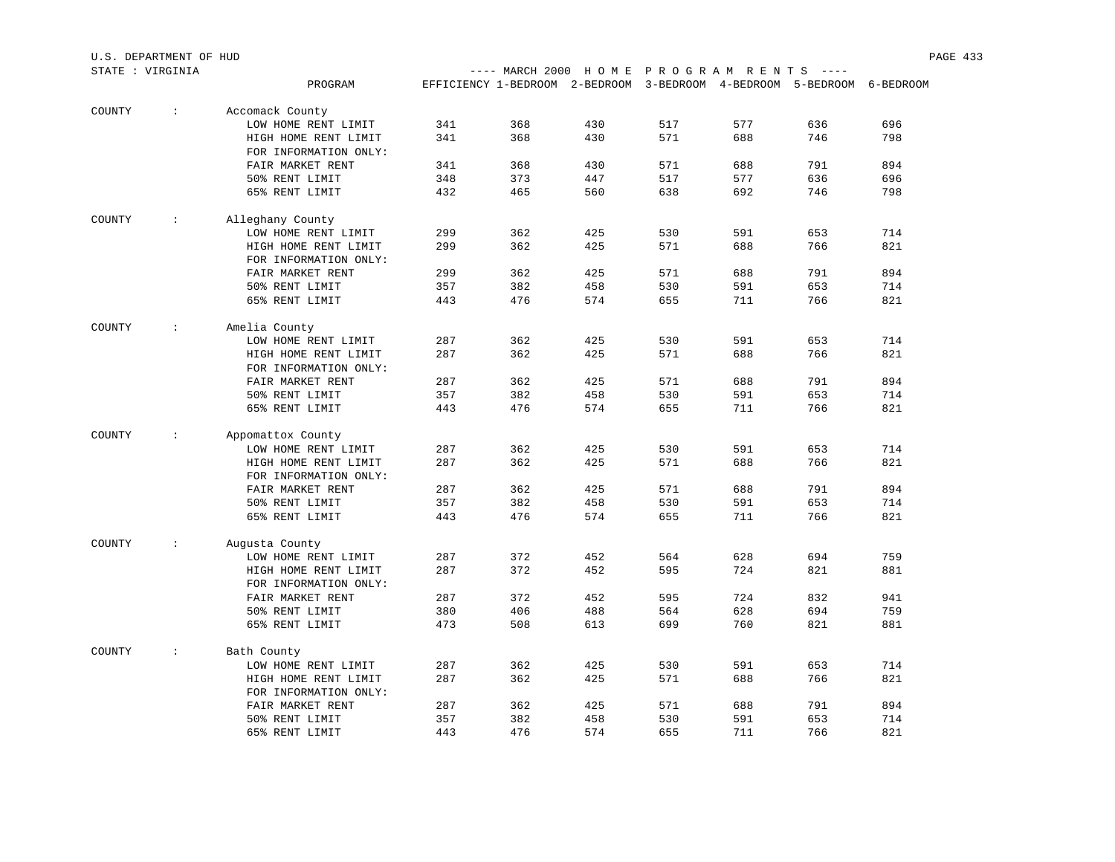|        | STATE : VIRGINIA            |                       |     | ---- MARCH 2000 HOME PROGRAM RENTS ----                                |     |     |     |     |     |
|--------|-----------------------------|-----------------------|-----|------------------------------------------------------------------------|-----|-----|-----|-----|-----|
|        |                             | PROGRAM               |     | EFFICIENCY 1-BEDROOM 2-BEDROOM 3-BEDROOM 4-BEDROOM 5-BEDROOM 6-BEDROOM |     |     |     |     |     |
| COUNTY | $\mathcal{L}$               | Accomack County       |     |                                                                        |     |     |     |     |     |
|        |                             | LOW HOME RENT LIMIT   | 341 | 368                                                                    | 430 | 517 | 577 | 636 | 696 |
|        |                             | HIGH HOME RENT LIMIT  | 341 | 368                                                                    | 430 | 571 | 688 | 746 | 798 |
|        |                             | FOR INFORMATION ONLY: |     |                                                                        |     |     |     |     |     |
|        |                             | FAIR MARKET RENT      | 341 | 368                                                                    | 430 | 571 | 688 | 791 | 894 |
|        |                             | 50% RENT LIMIT        | 348 | 373                                                                    | 447 | 517 | 577 | 636 | 696 |
|        |                             | 65% RENT LIMIT        | 432 | 465                                                                    | 560 | 638 | 692 | 746 | 798 |
| COUNTY | $\mathbf{1}$ , $\mathbf{1}$ | Alleghany County      |     |                                                                        |     |     |     |     |     |
|        |                             | LOW HOME RENT LIMIT   | 299 | 362                                                                    | 425 | 530 | 591 | 653 | 714 |
|        |                             | HIGH HOME RENT LIMIT  | 299 | 362                                                                    | 425 | 571 | 688 | 766 | 821 |
|        |                             | FOR INFORMATION ONLY: |     |                                                                        |     |     |     |     |     |
|        |                             | FAIR MARKET RENT      | 299 | 362                                                                    | 425 | 571 | 688 | 791 | 894 |
|        |                             | 50% RENT LIMIT        | 357 | 382                                                                    | 458 | 530 | 591 | 653 | 714 |
|        |                             | 65% RENT LIMIT        | 443 | 476                                                                    | 574 | 655 | 711 | 766 | 821 |
| COUNTY | $\mathcal{L}$               | Amelia County         |     |                                                                        |     |     |     |     |     |
|        |                             | LOW HOME RENT LIMIT   | 287 | 362                                                                    | 425 | 530 | 591 | 653 | 714 |
|        |                             | HIGH HOME RENT LIMIT  | 287 | 362                                                                    | 425 | 571 | 688 | 766 | 821 |
|        |                             | FOR INFORMATION ONLY: |     |                                                                        |     |     |     |     |     |
|        |                             | FAIR MARKET RENT      | 287 | 362                                                                    | 425 | 571 | 688 | 791 | 894 |
|        |                             | 50% RENT LIMIT        | 357 | 382                                                                    | 458 | 530 | 591 | 653 | 714 |
|        |                             | 65% RENT LIMIT        | 443 | 476                                                                    | 574 | 655 | 711 | 766 | 821 |
| COUNTY | $\mathcal{L}$               | Appomattox County     |     |                                                                        |     |     |     |     |     |
|        |                             | LOW HOME RENT LIMIT   | 287 | 362                                                                    | 425 | 530 | 591 | 653 | 714 |
|        |                             | HIGH HOME RENT LIMIT  | 287 | 362                                                                    | 425 | 571 | 688 | 766 | 821 |
|        |                             | FOR INFORMATION ONLY: |     |                                                                        |     |     |     |     |     |
|        |                             | FAIR MARKET RENT      | 287 | 362                                                                    | 425 | 571 | 688 | 791 | 894 |
|        |                             | 50% RENT LIMIT        | 357 | 382                                                                    | 458 | 530 | 591 | 653 | 714 |
|        |                             | 65% RENT LIMIT        | 443 | 476                                                                    | 574 | 655 | 711 | 766 | 821 |
| COUNTY | $\sim$                      | Augusta County        |     |                                                                        |     |     |     |     |     |
|        |                             | LOW HOME RENT LIMIT   | 287 | 372                                                                    | 452 | 564 | 628 | 694 | 759 |
|        |                             | HIGH HOME RENT LIMIT  | 287 | 372                                                                    | 452 | 595 | 724 | 821 | 881 |
|        |                             | FOR INFORMATION ONLY: |     |                                                                        |     |     |     |     |     |
|        |                             | FAIR MARKET RENT      | 287 | 372                                                                    | 452 | 595 | 724 | 832 | 941 |
|        |                             | 50% RENT LIMIT        | 380 | 406                                                                    | 488 | 564 | 628 | 694 | 759 |
|        |                             | 65% RENT LIMIT        | 473 | 508                                                                    | 613 | 699 | 760 | 821 | 881 |
| COUNTY | $\sim$                      | Bath County           |     |                                                                        |     |     |     |     |     |
|        |                             | LOW HOME RENT LIMIT   | 287 | 362                                                                    | 425 | 530 | 591 | 653 | 714 |
|        |                             | HIGH HOME RENT LIMIT  | 287 | 362                                                                    | 425 | 571 | 688 | 766 | 821 |
|        |                             | FOR INFORMATION ONLY: |     |                                                                        |     |     |     |     |     |
|        |                             | FAIR MARKET RENT      | 287 | 362                                                                    | 425 | 571 | 688 | 791 | 894 |
|        |                             | 50% RENT LIMIT        | 357 | 382                                                                    | 458 | 530 | 591 | 653 | 714 |
|        |                             | 65% RENT LIMIT        | 443 | 476                                                                    | 574 | 655 | 711 | 766 | 821 |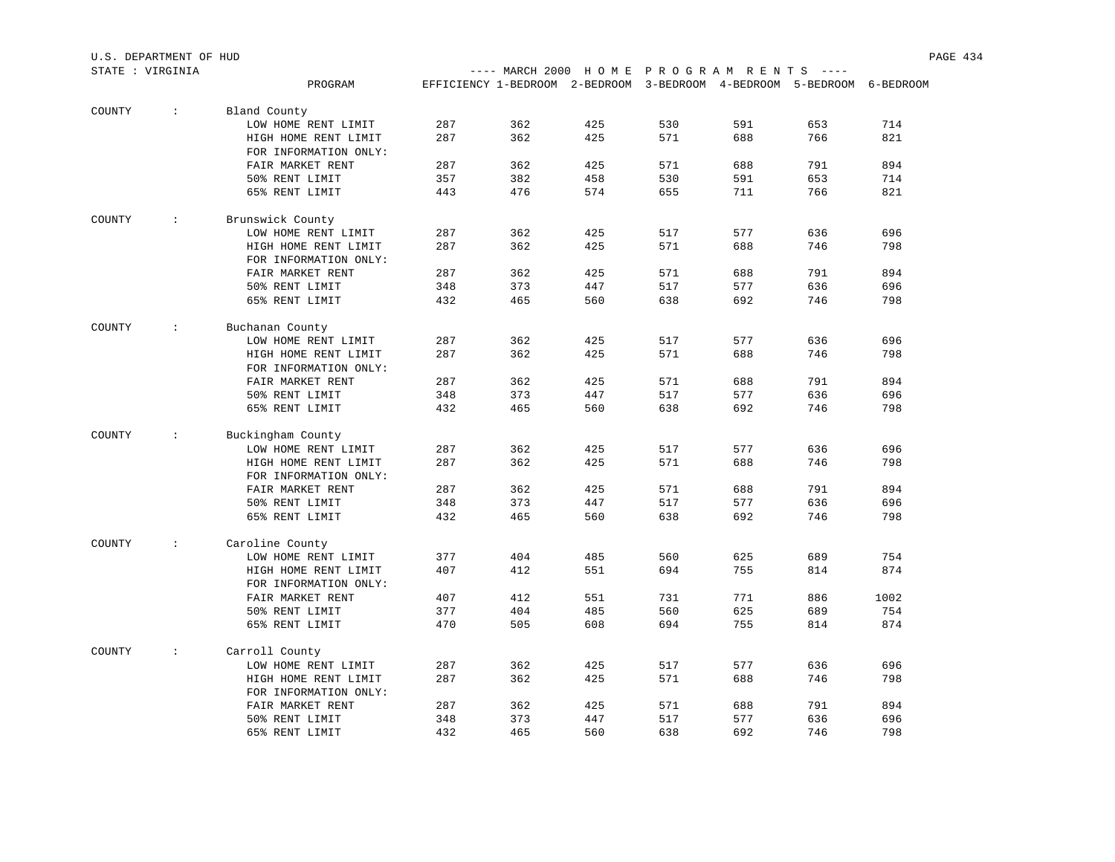|        | STATE : VIRGINIA     |                                               |     | ---- MARCH 2000 HOME PROGRAM RENTS ----                                |     |     |     |     |      |
|--------|----------------------|-----------------------------------------------|-----|------------------------------------------------------------------------|-----|-----|-----|-----|------|
|        |                      | PROGRAM                                       |     | EFFICIENCY 1-BEDROOM 2-BEDROOM 3-BEDROOM 4-BEDROOM 5-BEDROOM 6-BEDROOM |     |     |     |     |      |
|        |                      |                                               |     |                                                                        |     |     |     |     |      |
| COUNTY | $\sim$               | Bland County                                  |     |                                                                        |     |     |     |     |      |
|        |                      | LOW HOME RENT LIMIT                           | 287 | 362                                                                    | 425 | 530 | 591 | 653 | 714  |
|        |                      | HIGH HOME RENT LIMIT                          | 287 | 362                                                                    | 425 | 571 | 688 | 766 | 821  |
|        |                      | FOR INFORMATION ONLY:                         |     |                                                                        |     |     |     |     |      |
|        |                      | FAIR MARKET RENT                              | 287 | 362                                                                    | 425 | 571 | 688 | 791 | 894  |
|        |                      | 50% RENT LIMIT                                | 357 | 382                                                                    | 458 | 530 | 591 | 653 | 714  |
|        |                      | 65% RENT LIMIT                                | 443 | 476                                                                    | 574 | 655 | 711 | 766 | 821  |
| COUNTY | $\ddot{\phantom{0}}$ | Brunswick County                              |     |                                                                        |     |     |     |     |      |
|        |                      | LOW HOME RENT LIMIT                           | 287 | 362                                                                    | 425 | 517 | 577 | 636 | 696  |
|        |                      | HIGH HOME RENT LIMIT                          | 287 | 362                                                                    | 425 | 571 | 688 | 746 | 798  |
|        |                      | FOR INFORMATION ONLY:                         |     |                                                                        |     |     |     |     |      |
|        |                      | FAIR MARKET RENT                              | 287 | 362                                                                    | 425 | 571 | 688 | 791 | 894  |
|        |                      | 50% RENT LIMIT                                | 348 | 373                                                                    | 447 | 517 | 577 | 636 | 696  |
|        |                      |                                               |     |                                                                        |     |     |     |     |      |
|        |                      | 65% RENT LIMIT                                | 432 | 465                                                                    | 560 | 638 | 692 | 746 | 798  |
| COUNTY | $\sim$               | Buchanan County                               |     |                                                                        |     |     |     |     |      |
|        |                      | LOW HOME RENT LIMIT                           | 287 | 362                                                                    | 425 | 517 | 577 | 636 | 696  |
|        |                      | HIGH HOME RENT LIMIT                          | 287 | 362                                                                    | 425 | 571 | 688 | 746 | 798  |
|        |                      | FOR INFORMATION ONLY:                         |     |                                                                        |     |     |     |     |      |
|        |                      | FAIR MARKET RENT                              | 287 | 362                                                                    | 425 | 571 | 688 | 791 | 894  |
|        |                      | 50% RENT LIMIT                                | 348 | 373                                                                    | 447 | 517 | 577 | 636 | 696  |
|        |                      | 65% RENT LIMIT                                | 432 | 465                                                                    | 560 | 638 | 692 | 746 | 798  |
| COUNTY | $\sim$               | Buckingham County                             |     |                                                                        |     |     |     |     |      |
|        |                      | LOW HOME RENT LIMIT                           | 287 | 362                                                                    | 425 | 517 | 577 | 636 | 696  |
|        |                      |                                               | 287 | 362                                                                    | 425 | 571 | 688 | 746 | 798  |
|        |                      | HIGH HOME RENT LIMIT<br>FOR INFORMATION ONLY: |     |                                                                        |     |     |     |     |      |
|        |                      | FAIR MARKET RENT                              | 287 | 362                                                                    | 425 | 571 | 688 | 791 | 894  |
|        |                      |                                               |     |                                                                        |     |     |     |     |      |
|        |                      | 50% RENT LIMIT                                | 348 | 373                                                                    | 447 | 517 | 577 | 636 | 696  |
|        |                      | 65% RENT LIMIT                                | 432 | 465                                                                    | 560 | 638 | 692 | 746 | 798  |
| COUNTY | $\mathcal{L}$        | Caroline County                               |     |                                                                        |     |     |     |     |      |
|        |                      | LOW HOME RENT LIMIT                           | 377 | 404                                                                    | 485 | 560 | 625 | 689 | 754  |
|        |                      | HIGH HOME RENT LIMIT                          | 407 | 412                                                                    | 551 | 694 | 755 | 814 | 874  |
|        |                      | FOR INFORMATION ONLY:                         |     |                                                                        |     |     |     |     |      |
|        |                      | FAIR MARKET RENT                              | 407 | 412                                                                    | 551 | 731 | 771 | 886 | 1002 |
|        |                      | 50% RENT LIMIT                                | 377 | 404                                                                    | 485 | 560 | 625 | 689 | 754  |
|        |                      | 65% RENT LIMIT                                | 470 | 505                                                                    | 608 | 694 | 755 | 814 | 874  |
|        |                      |                                               |     |                                                                        |     |     |     |     |      |
| COUNTY | $\sim$               | Carroll County                                |     |                                                                        |     |     |     |     |      |
|        |                      | LOW HOME RENT LIMIT                           | 287 | 362                                                                    | 425 | 517 | 577 | 636 | 696  |
|        |                      | HIGH HOME RENT LIMIT                          | 287 | 362                                                                    | 425 | 571 | 688 | 746 | 798  |
|        |                      | FOR INFORMATION ONLY:                         |     |                                                                        |     |     |     |     |      |
|        |                      | FAIR MARKET RENT                              | 287 | 362                                                                    | 425 | 571 | 688 | 791 | 894  |
|        |                      | 50% RENT LIMIT                                | 348 | 373                                                                    | 447 | 517 | 577 | 636 | 696  |
|        |                      | 65% RENT LIMIT                                | 432 | 465                                                                    | 560 | 638 | 692 | 746 | 798  |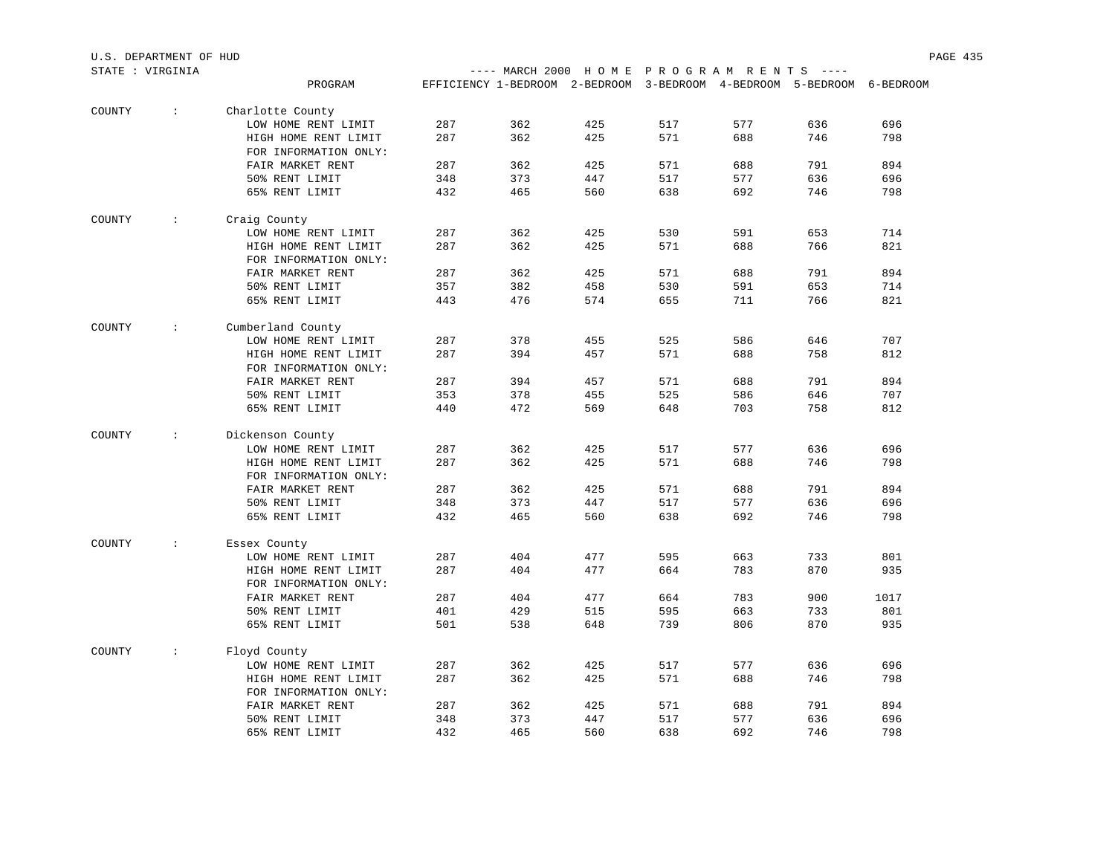|        | STATE : VIRGINIA |                       |     | ---- MARCH 2000 HOME PROGRAM RENTS ----                                |     |     |     |     |      |
|--------|------------------|-----------------------|-----|------------------------------------------------------------------------|-----|-----|-----|-----|------|
|        |                  | PROGRAM               |     | EFFICIENCY 1-BEDROOM 2-BEDROOM 3-BEDROOM 4-BEDROOM 5-BEDROOM 6-BEDROOM |     |     |     |     |      |
| COUNTY | $\sim$           | Charlotte County      |     |                                                                        |     |     |     |     |      |
|        |                  | LOW HOME RENT LIMIT   | 287 | 362                                                                    | 425 | 517 | 577 | 636 | 696  |
|        |                  | HIGH HOME RENT LIMIT  | 287 | 362                                                                    | 425 | 571 | 688 | 746 | 798  |
|        |                  | FOR INFORMATION ONLY: |     |                                                                        |     |     |     |     |      |
|        |                  | FAIR MARKET RENT      | 287 | 362                                                                    | 425 | 571 | 688 | 791 | 894  |
|        |                  | 50% RENT LIMIT        | 348 | 373                                                                    | 447 | 517 | 577 | 636 | 696  |
|        |                  | 65% RENT LIMIT        | 432 | 465                                                                    | 560 | 638 | 692 | 746 | 798  |
| COUNTY | $\sim$           | Craig County          |     |                                                                        |     |     |     |     |      |
|        |                  | LOW HOME RENT LIMIT   | 287 | 362                                                                    | 425 | 530 | 591 | 653 | 714  |
|        |                  | HIGH HOME RENT LIMIT  | 287 | 362                                                                    | 425 | 571 | 688 | 766 | 821  |
|        |                  | FOR INFORMATION ONLY: |     |                                                                        |     |     |     |     |      |
|        |                  | FAIR MARKET RENT      | 287 | 362                                                                    | 425 | 571 | 688 | 791 | 894  |
|        |                  | 50% RENT LIMIT        | 357 | 382                                                                    | 458 | 530 | 591 | 653 | 714  |
|        |                  | 65% RENT LIMIT        | 443 | 476                                                                    | 574 | 655 | 711 | 766 | 821  |
| COUNTY | $\mathcal{L}$    | Cumberland County     |     |                                                                        |     |     |     |     |      |
|        |                  | LOW HOME RENT LIMIT   | 287 | 378                                                                    | 455 | 525 | 586 | 646 | 707  |
|        |                  | HIGH HOME RENT LIMIT  | 287 | 394                                                                    | 457 | 571 | 688 | 758 | 812  |
|        |                  | FOR INFORMATION ONLY: |     |                                                                        |     |     |     |     |      |
|        |                  | FAIR MARKET RENT      | 287 | 394                                                                    | 457 | 571 | 688 | 791 | 894  |
|        |                  | 50% RENT LIMIT        | 353 | 378                                                                    | 455 | 525 | 586 | 646 | 707  |
|        |                  | 65% RENT LIMIT        | 440 | 472                                                                    | 569 | 648 | 703 | 758 | 812  |
| COUNTY | $\mathcal{L}$    | Dickenson County      |     |                                                                        |     |     |     |     |      |
|        |                  | LOW HOME RENT LIMIT   | 287 | 362                                                                    | 425 | 517 | 577 | 636 | 696  |
|        |                  | HIGH HOME RENT LIMIT  | 287 | 362                                                                    | 425 | 571 | 688 | 746 | 798  |
|        |                  | FOR INFORMATION ONLY: |     |                                                                        |     |     |     |     |      |
|        |                  | FAIR MARKET RENT      | 287 | 362                                                                    | 425 | 571 | 688 | 791 | 894  |
|        |                  | 50% RENT LIMIT        | 348 | 373                                                                    | 447 | 517 | 577 | 636 | 696  |
|        |                  | 65% RENT LIMIT        | 432 | 465                                                                    | 560 | 638 | 692 | 746 | 798  |
| COUNTY | $\sim$           | Essex County          |     |                                                                        |     |     |     |     |      |
|        |                  | LOW HOME RENT LIMIT   | 287 | 404                                                                    | 477 | 595 | 663 | 733 | 801  |
|        |                  | HIGH HOME RENT LIMIT  | 287 | 404                                                                    | 477 | 664 | 783 | 870 | 935  |
|        |                  | FOR INFORMATION ONLY: |     |                                                                        |     |     |     |     |      |
|        |                  | FAIR MARKET RENT      | 287 | 404                                                                    | 477 | 664 | 783 | 900 | 1017 |
|        |                  | 50% RENT LIMIT        | 401 | 429                                                                    | 515 | 595 | 663 | 733 | 801  |
|        |                  | 65% RENT LIMIT        | 501 | 538                                                                    | 648 | 739 | 806 | 870 | 935  |
| COUNTY | $\sim$           | Floyd County          |     |                                                                        |     |     |     |     |      |
|        |                  | LOW HOME RENT LIMIT   | 287 | 362                                                                    | 425 | 517 | 577 | 636 | 696  |
|        |                  | HIGH HOME RENT LIMIT  | 287 | 362                                                                    | 425 | 571 | 688 | 746 | 798  |
|        |                  | FOR INFORMATION ONLY: |     |                                                                        |     |     |     |     |      |
|        |                  | FAIR MARKET RENT      | 287 | 362                                                                    | 425 | 571 | 688 | 791 | 894  |
|        |                  | 50% RENT LIMIT        | 348 | 373                                                                    | 447 | 517 | 577 | 636 | 696  |
|        |                  | 65% RENT LIMIT        | 432 | 465                                                                    | 560 | 638 | 692 | 746 | 798  |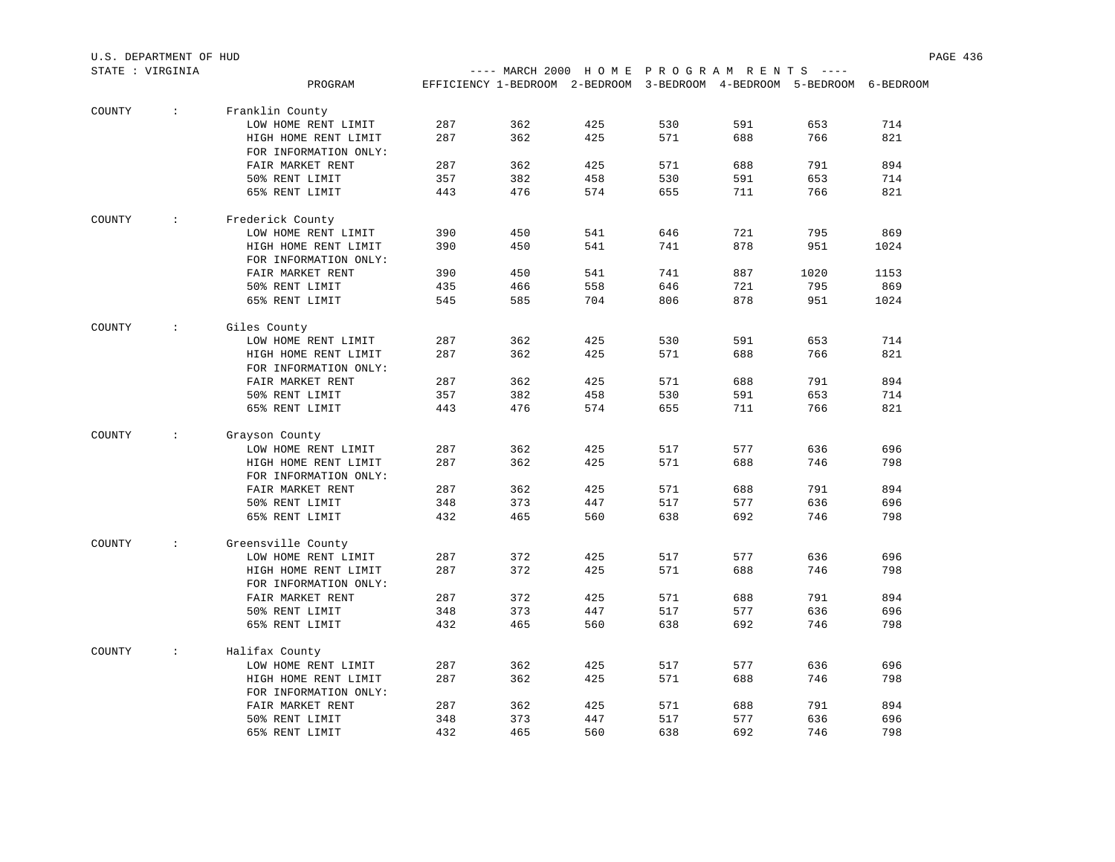| STATE : VIRGINIA |                             |                       |     | ---- MARCH 2000 HOME PROGRAM RENTS ----                                |     |     |     |      |      |
|------------------|-----------------------------|-----------------------|-----|------------------------------------------------------------------------|-----|-----|-----|------|------|
|                  |                             | PROGRAM               |     | EFFICIENCY 1-BEDROOM 2-BEDROOM 3-BEDROOM 4-BEDROOM 5-BEDROOM 6-BEDROOM |     |     |     |      |      |
| COUNTY           | $\mathcal{I}^{\mathcal{I}}$ | Franklin County       |     |                                                                        |     |     |     |      |      |
|                  |                             | LOW HOME RENT LIMIT   | 287 | 362                                                                    | 425 | 530 | 591 | 653  | 714  |
|                  |                             | HIGH HOME RENT LIMIT  | 287 | 362                                                                    | 425 | 571 | 688 | 766  | 821  |
|                  |                             | FOR INFORMATION ONLY: |     |                                                                        |     |     |     |      |      |
|                  |                             | FAIR MARKET RENT      | 287 | 362                                                                    | 425 | 571 | 688 | 791  | 894  |
|                  |                             | 50% RENT LIMIT        | 357 | 382                                                                    | 458 | 530 | 591 | 653  | 714  |
|                  |                             | 65% RENT LIMIT        | 443 | 476                                                                    | 574 | 655 | 711 | 766  | 821  |
| COUNTY           | $\sim 100$                  | Frederick County      |     |                                                                        |     |     |     |      |      |
|                  |                             | LOW HOME RENT LIMIT   | 390 | 450                                                                    | 541 | 646 | 721 | 795  | 869  |
|                  |                             | HIGH HOME RENT LIMIT  | 390 | 450                                                                    | 541 | 741 | 878 | 951  | 1024 |
|                  |                             | FOR INFORMATION ONLY: |     |                                                                        |     |     |     |      |      |
|                  |                             | FAIR MARKET RENT      | 390 | 450                                                                    | 541 | 741 | 887 | 1020 | 1153 |
|                  |                             | 50% RENT LIMIT        | 435 | 466                                                                    | 558 | 646 | 721 | 795  | 869  |
|                  |                             | 65% RENT LIMIT        | 545 | 585                                                                    | 704 | 806 | 878 | 951  | 1024 |
| COUNTY           | $\sim$                      | Giles County          |     |                                                                        |     |     |     |      |      |
|                  |                             | LOW HOME RENT LIMIT   | 287 | 362                                                                    | 425 | 530 | 591 | 653  | 714  |
|                  |                             | HIGH HOME RENT LIMIT  | 287 | 362                                                                    | 425 | 571 | 688 | 766  | 821  |
|                  |                             | FOR INFORMATION ONLY: |     |                                                                        |     |     |     |      |      |
|                  |                             | FAIR MARKET RENT      | 287 | 362                                                                    | 425 | 571 | 688 | 791  | 894  |
|                  |                             | 50% RENT LIMIT        | 357 | 382                                                                    | 458 | 530 | 591 | 653  | 714  |
|                  |                             | 65% RENT LIMIT        | 443 | 476                                                                    | 574 | 655 | 711 | 766  | 821  |
|                  |                             |                       |     |                                                                        |     |     |     |      |      |
| COUNTY           | $\sim$                      | Grayson County        |     |                                                                        |     |     |     |      |      |
|                  |                             | LOW HOME RENT LIMIT   | 287 | 362                                                                    | 425 | 517 | 577 | 636  | 696  |
|                  |                             | HIGH HOME RENT LIMIT  | 287 | 362                                                                    | 425 | 571 | 688 | 746  | 798  |
|                  |                             | FOR INFORMATION ONLY: |     |                                                                        |     |     |     |      |      |
|                  |                             | FAIR MARKET RENT      | 287 | 362                                                                    | 425 | 571 | 688 | 791  | 894  |
|                  |                             | 50% RENT LIMIT        | 348 | 373                                                                    | 447 | 517 | 577 | 636  | 696  |
|                  |                             | 65% RENT LIMIT        | 432 | 465                                                                    | 560 | 638 | 692 | 746  | 798  |
| COUNTY           | $\mathcal{L}$               | Greensville County    |     |                                                                        |     |     |     |      |      |
|                  |                             | LOW HOME RENT LIMIT   | 287 | 372                                                                    | 425 | 517 | 577 | 636  | 696  |
|                  |                             | HIGH HOME RENT LIMIT  | 287 | 372                                                                    | 425 | 571 | 688 | 746  | 798  |
|                  |                             | FOR INFORMATION ONLY: |     |                                                                        |     |     |     |      |      |
|                  |                             | FAIR MARKET RENT      | 287 | 372                                                                    | 425 | 571 | 688 | 791  | 894  |
|                  |                             | 50% RENT LIMIT        | 348 | 373                                                                    | 447 | 517 | 577 | 636  | 696  |
|                  |                             | 65% RENT LIMIT        | 432 | 465                                                                    | 560 | 638 | 692 | 746  | 798  |
| COUNTY           | $\mathcal{L}$               | Halifax County        |     |                                                                        |     |     |     |      |      |
|                  |                             | LOW HOME RENT LIMIT   | 287 | 362                                                                    | 425 | 517 | 577 | 636  | 696  |
|                  |                             | HIGH HOME RENT LIMIT  | 287 | 362                                                                    | 425 | 571 | 688 | 746  | 798  |
|                  |                             | FOR INFORMATION ONLY: |     |                                                                        |     |     |     |      |      |
|                  |                             | FAIR MARKET RENT      | 287 | 362                                                                    | 425 | 571 | 688 | 791  | 894  |
|                  |                             | 50% RENT LIMIT        | 348 | 373                                                                    | 447 | 517 | 577 | 636  | 696  |
|                  |                             | 65% RENT LIMIT        | 432 | 465                                                                    | 560 | 638 | 692 | 746  | 798  |
|                  |                             |                       |     |                                                                        |     |     |     |      |      |

U.S. DEPARTMENT OF HUD PAGE 436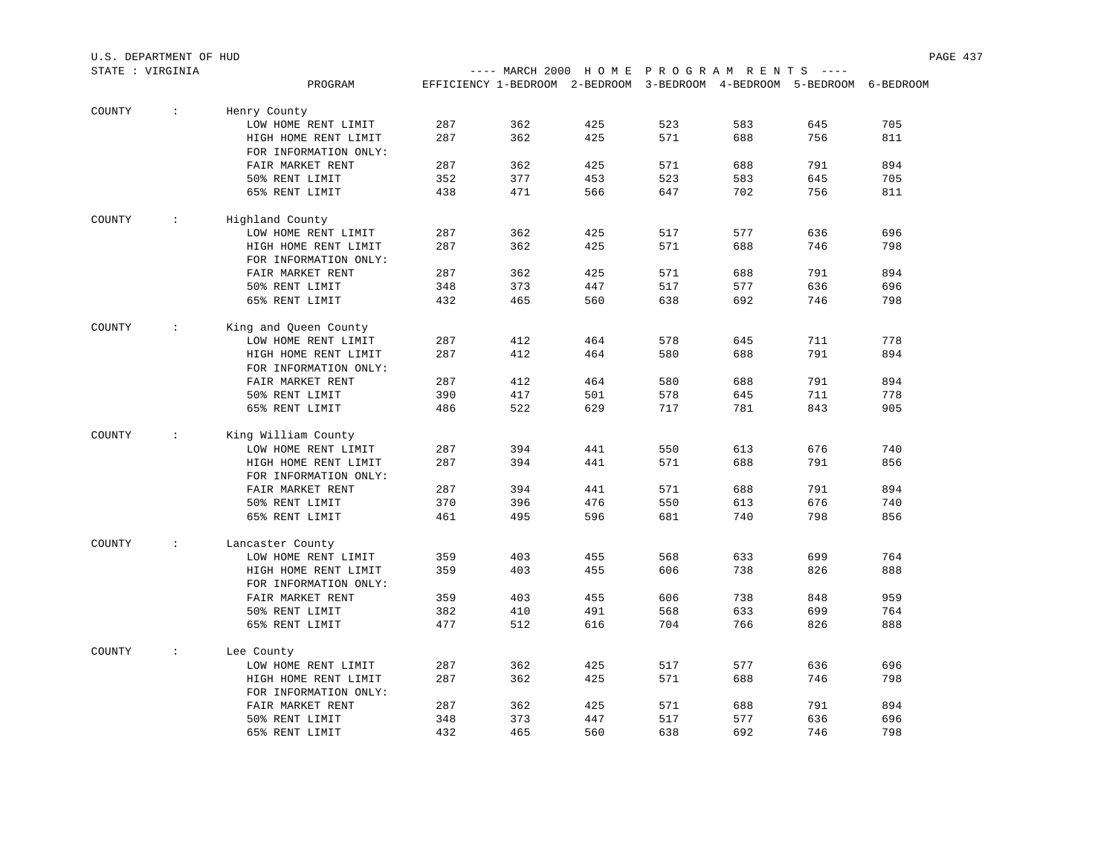|        | STATE : VIRGINIA |                       |     |     | ---- MARCH 2000 HOME PROGRAM RENTS ----                                |     |     |     |     |
|--------|------------------|-----------------------|-----|-----|------------------------------------------------------------------------|-----|-----|-----|-----|
|        |                  | PROGRAM               |     |     | EFFICIENCY 1-BEDROOM 2-BEDROOM 3-BEDROOM 4-BEDROOM 5-BEDROOM 6-BEDROOM |     |     |     |     |
| COUNTY | $\sim$           | Henry County          |     |     |                                                                        |     |     |     |     |
|        |                  | LOW HOME RENT LIMIT   | 287 | 362 | 425                                                                    | 523 | 583 | 645 | 705 |
|        |                  | HIGH HOME RENT LIMIT  | 287 | 362 | 425                                                                    | 571 | 688 | 756 | 811 |
|        |                  | FOR INFORMATION ONLY: |     |     |                                                                        |     |     |     |     |
|        |                  | FAIR MARKET RENT      | 287 | 362 | 425                                                                    | 571 | 688 | 791 | 894 |
|        |                  | 50% RENT LIMIT        | 352 | 377 | 453                                                                    | 523 | 583 | 645 | 705 |
|        |                  | 65% RENT LIMIT        | 438 | 471 | 566                                                                    | 647 | 702 | 756 | 811 |
|        |                  |                       |     |     |                                                                        |     |     |     |     |
| COUNTY | $\sim 100$       | Highland County       |     |     |                                                                        |     |     |     |     |
|        |                  | LOW HOME RENT LIMIT   | 287 | 362 | 425                                                                    | 517 | 577 | 636 | 696 |
|        |                  | HIGH HOME RENT LIMIT  | 287 | 362 | 425                                                                    | 571 | 688 | 746 | 798 |
|        |                  | FOR INFORMATION ONLY: |     |     |                                                                        |     |     |     |     |
|        |                  | FAIR MARKET RENT      | 287 | 362 | 425                                                                    | 571 | 688 | 791 | 894 |
|        |                  | 50% RENT LIMIT        | 348 | 373 | 447                                                                    | 517 | 577 | 636 | 696 |
|        |                  | 65% RENT LIMIT        | 432 | 465 | 560                                                                    | 638 | 692 | 746 | 798 |
|        |                  |                       |     |     |                                                                        |     |     |     |     |
| COUNTY | $\sim 100$       | King and Queen County |     |     |                                                                        |     |     |     |     |
|        |                  | LOW HOME RENT LIMIT   | 287 | 412 | 464                                                                    | 578 | 645 | 711 | 778 |
|        |                  | HIGH HOME RENT LIMIT  | 287 | 412 | 464                                                                    | 580 | 688 | 791 | 894 |
|        |                  | FOR INFORMATION ONLY: |     |     |                                                                        |     |     |     |     |
|        |                  | FAIR MARKET RENT      | 287 | 412 | 464                                                                    | 580 | 688 | 791 | 894 |
|        |                  | 50% RENT LIMIT        | 390 | 417 | 501                                                                    | 578 | 645 | 711 | 778 |
|        |                  | 65% RENT LIMIT        | 486 | 522 | 629                                                                    | 717 | 781 | 843 | 905 |
| COUNTY | $\mathcal{L}$    | King William County   |     |     |                                                                        |     |     |     |     |
|        |                  | LOW HOME RENT LIMIT   | 287 | 394 | 441                                                                    | 550 | 613 | 676 | 740 |
|        |                  | HIGH HOME RENT LIMIT  | 287 | 394 | 441                                                                    | 571 | 688 | 791 | 856 |
|        |                  | FOR INFORMATION ONLY: |     |     |                                                                        |     |     |     |     |
|        |                  | FAIR MARKET RENT      | 287 | 394 | 441                                                                    | 571 | 688 | 791 | 894 |
|        |                  | 50% RENT LIMIT        | 370 | 396 | 476                                                                    | 550 | 613 | 676 | 740 |
|        |                  | 65% RENT LIMIT        | 461 | 495 | 596                                                                    | 681 | 740 | 798 | 856 |
|        |                  |                       |     |     |                                                                        |     |     |     |     |
| COUNTY | $\mathcal{L}$    | Lancaster County      |     |     |                                                                        |     |     |     |     |
|        |                  | LOW HOME RENT LIMIT   | 359 | 403 | 455                                                                    | 568 | 633 | 699 | 764 |
|        |                  | HIGH HOME RENT LIMIT  | 359 | 403 | 455                                                                    | 606 | 738 | 826 | 888 |
|        |                  | FOR INFORMATION ONLY: |     |     |                                                                        |     |     |     |     |
|        |                  | FAIR MARKET RENT      | 359 | 403 | 455                                                                    | 606 | 738 | 848 | 959 |
|        |                  | 50% RENT LIMIT        | 382 | 410 | 491                                                                    | 568 | 633 | 699 | 764 |
|        |                  | 65% RENT LIMIT        | 477 | 512 | 616                                                                    | 704 | 766 | 826 | 888 |
| COUNTY | $\sim$           | Lee County            |     |     |                                                                        |     |     |     |     |
|        |                  | LOW HOME RENT LIMIT   | 287 | 362 | 425                                                                    | 517 | 577 | 636 | 696 |
|        |                  | HIGH HOME RENT LIMIT  | 287 | 362 | 425                                                                    | 571 | 688 | 746 | 798 |
|        |                  | FOR INFORMATION ONLY: |     |     |                                                                        |     |     |     |     |
|        |                  | FAIR MARKET RENT      | 287 | 362 | 425                                                                    | 571 | 688 | 791 | 894 |
|        |                  | 50% RENT LIMIT        | 348 | 373 | 447                                                                    | 517 | 577 | 636 | 696 |
|        |                  | 65% RENT LIMIT        | 432 | 465 | 560                                                                    | 638 | 692 | 746 | 798 |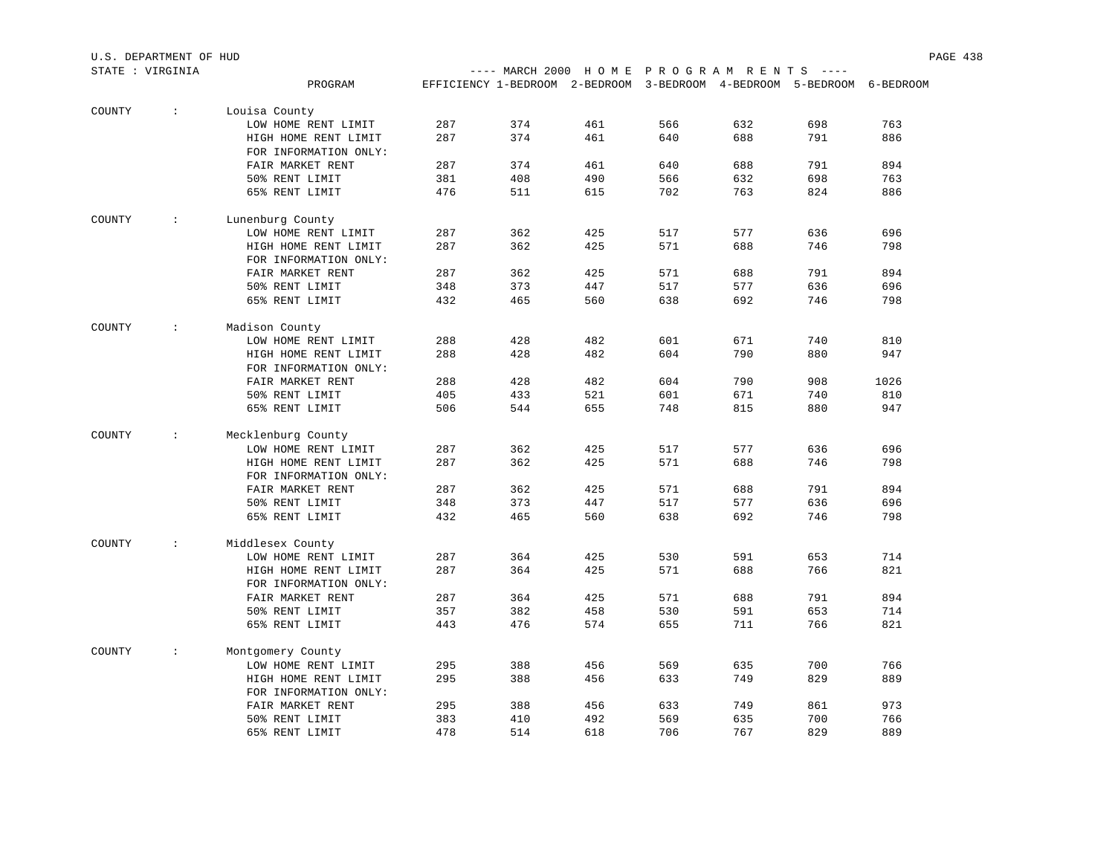| STATE : VIRGINIA |               |                                               |     |     | ---- MARCH 2000 HOME PROGRAM RENTS                                     |     |     | $\qquad \qquad - - - -$ |      |
|------------------|---------------|-----------------------------------------------|-----|-----|------------------------------------------------------------------------|-----|-----|-------------------------|------|
|                  |               | PROGRAM                                       |     |     | EFFICIENCY 1-BEDROOM 2-BEDROOM 3-BEDROOM 4-BEDROOM 5-BEDROOM 6-BEDROOM |     |     |                         |      |
|                  |               |                                               |     |     |                                                                        |     |     |                         |      |
| COUNTY           | $\sim$        | Louisa County                                 |     |     |                                                                        |     |     |                         |      |
|                  |               | LOW HOME RENT LIMIT                           | 287 | 374 | 461                                                                    | 566 | 632 | 698                     | 763  |
|                  |               | HIGH HOME RENT LIMIT<br>FOR INFORMATION ONLY: | 287 | 374 | 461                                                                    | 640 | 688 | 791                     | 886  |
|                  |               | FAIR MARKET RENT                              | 287 | 374 | 461                                                                    | 640 | 688 | 791                     | 894  |
|                  |               | 50% RENT LIMIT                                | 381 | 408 | 490                                                                    | 566 | 632 | 698                     | 763  |
|                  |               | 65% RENT LIMIT                                | 476 | 511 | 615                                                                    | 702 | 763 | 824                     | 886  |
| COUNTY           | $\sim$        | Lunenburg County                              |     |     |                                                                        |     |     |                         |      |
|                  |               | LOW HOME RENT LIMIT                           | 287 | 362 | 425                                                                    | 517 | 577 | 636                     | 696  |
|                  |               | HIGH HOME RENT LIMIT                          | 287 | 362 | 425                                                                    | 571 | 688 | 746                     | 798  |
|                  |               | FOR INFORMATION ONLY:                         |     |     |                                                                        |     |     |                         |      |
|                  |               | FAIR MARKET RENT                              | 287 | 362 | 425                                                                    | 571 | 688 | 791                     | 894  |
|                  |               | 50% RENT LIMIT                                | 348 | 373 | 447                                                                    | 517 | 577 | 636                     | 696  |
|                  |               | 65% RENT LIMIT                                | 432 | 465 | 560                                                                    | 638 | 692 | 746                     | 798  |
|                  |               |                                               |     |     |                                                                        |     |     |                         |      |
| COUNTY           | $\mathcal{L}$ | Madison County                                |     |     |                                                                        |     |     |                         |      |
|                  |               | LOW HOME RENT LIMIT                           | 288 | 428 | 482                                                                    | 601 | 671 | 740                     | 810  |
|                  |               | HIGH HOME RENT LIMIT                          | 288 | 428 | 482                                                                    | 604 | 790 | 880                     | 947  |
|                  |               | FOR INFORMATION ONLY:                         |     |     |                                                                        |     |     |                         |      |
|                  |               | FAIR MARKET RENT                              | 288 | 428 | 482                                                                    | 604 | 790 | 908                     | 1026 |
|                  |               | 50% RENT LIMIT                                | 405 | 433 | 521                                                                    | 601 | 671 | 740                     | 810  |
|                  |               | 65% RENT LIMIT                                | 506 | 544 | 655                                                                    | 748 | 815 | 880                     | 947  |
| COUNTY           | $\mathcal{L}$ | Mecklenburg County                            |     |     |                                                                        |     |     |                         |      |
|                  |               | LOW HOME RENT LIMIT                           | 287 | 362 | 425                                                                    | 517 | 577 | 636                     | 696  |
|                  |               | HIGH HOME RENT LIMIT                          | 287 | 362 | 425                                                                    | 571 | 688 | 746                     | 798  |
|                  |               | FOR INFORMATION ONLY:                         |     |     |                                                                        |     |     |                         |      |
|                  |               | FAIR MARKET RENT                              | 287 | 362 | 425                                                                    | 571 | 688 | 791                     | 894  |
|                  |               | 50% RENT LIMIT                                | 348 | 373 | 447                                                                    | 517 | 577 | 636                     | 696  |
|                  |               | 65% RENT LIMIT                                | 432 | 465 | 560                                                                    | 638 | 692 | 746                     | 798  |
| COUNTY           | $\sim$        | Middlesex County                              |     |     |                                                                        |     |     |                         |      |
|                  |               | LOW HOME RENT LIMIT                           | 287 | 364 | 425                                                                    | 530 | 591 | 653                     | 714  |
|                  |               | HIGH HOME RENT LIMIT                          | 287 | 364 | 425                                                                    | 571 | 688 | 766                     | 821  |
|                  |               | FOR INFORMATION ONLY:                         |     |     |                                                                        |     |     |                         |      |
|                  |               | FAIR MARKET RENT                              | 287 | 364 | 425                                                                    | 571 | 688 | 791                     | 894  |
|                  |               | 50% RENT LIMIT                                | 357 | 382 | 458                                                                    | 530 | 591 | 653                     | 714  |
|                  |               | 65% RENT LIMIT                                | 443 | 476 | 574                                                                    | 655 | 711 | 766                     | 821  |
| COUNTY           | $\sim$        | Montgomery County                             |     |     |                                                                        |     |     |                         |      |
|                  |               | LOW HOME RENT LIMIT                           | 295 | 388 | 456                                                                    | 569 | 635 | 700                     | 766  |
|                  |               | HIGH HOME RENT LIMIT                          | 295 | 388 | 456                                                                    | 633 | 749 | 829                     | 889  |
|                  |               | FOR INFORMATION ONLY:                         |     |     |                                                                        |     |     |                         |      |
|                  |               | FAIR MARKET RENT                              | 295 | 388 | 456                                                                    | 633 | 749 | 861                     | 973  |
|                  |               | 50% RENT LIMIT                                | 383 | 410 | 492                                                                    | 569 | 635 | 700                     | 766  |
|                  |               | 65% RENT LIMIT                                | 478 | 514 | 618                                                                    | 706 | 767 | 829                     | 889  |
|                  |               |                                               |     |     |                                                                        |     |     |                         |      |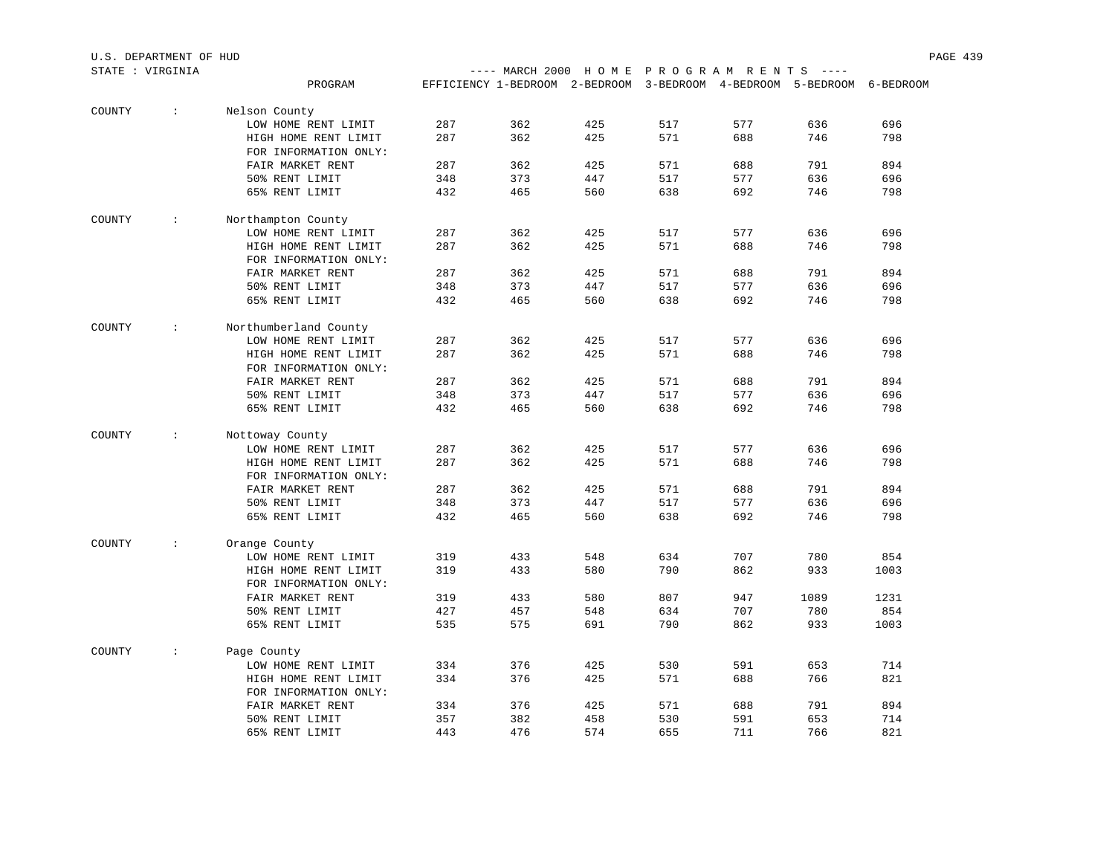|        | STATE : VIRGINIA |                                               |     | ---- MARCH 2000 HOME PROGRAM RENTS ----                                |     |     |     |      |      |
|--------|------------------|-----------------------------------------------|-----|------------------------------------------------------------------------|-----|-----|-----|------|------|
|        |                  | PROGRAM                                       |     | EFFICIENCY 1-BEDROOM 2-BEDROOM 3-BEDROOM 4-BEDROOM 5-BEDROOM 6-BEDROOM |     |     |     |      |      |
|        |                  |                                               |     |                                                                        |     |     |     |      |      |
| COUNTY | $\sim$           | Nelson County                                 |     |                                                                        |     |     |     |      |      |
|        |                  | LOW HOME RENT LIMIT                           | 287 | 362                                                                    | 425 | 517 | 577 | 636  | 696  |
|        |                  | HIGH HOME RENT LIMIT                          | 287 | 362                                                                    | 425 | 571 | 688 | 746  | 798  |
|        |                  | FOR INFORMATION ONLY:                         |     |                                                                        |     |     |     |      |      |
|        |                  | FAIR MARKET RENT                              | 287 | 362                                                                    | 425 | 571 | 688 | 791  | 894  |
|        |                  | 50% RENT LIMIT                                | 348 | 373                                                                    | 447 | 517 | 577 | 636  | 696  |
|        |                  | 65% RENT LIMIT                                | 432 | 465                                                                    | 560 | 638 | 692 | 746  | 798  |
| COUNTY | $\mathcal{L}$    | Northampton County                            |     |                                                                        |     |     |     |      |      |
|        |                  | LOW HOME RENT LIMIT                           | 287 | 362                                                                    | 425 | 517 | 577 | 636  | 696  |
|        |                  | HIGH HOME RENT LIMIT                          | 287 | 362                                                                    | 425 | 571 | 688 | 746  | 798  |
|        |                  | FOR INFORMATION ONLY:                         |     |                                                                        |     |     |     |      |      |
|        |                  | FAIR MARKET RENT                              | 287 | 362                                                                    | 425 | 571 | 688 | 791  | 894  |
|        |                  | 50% RENT LIMIT                                | 348 | 373                                                                    | 447 | 517 | 577 | 636  | 696  |
|        |                  |                                               |     |                                                                        |     |     |     |      |      |
|        |                  | 65% RENT LIMIT                                | 432 | 465                                                                    | 560 | 638 | 692 | 746  | 798  |
| COUNTY | $\sim$           | Northumberland County                         |     |                                                                        |     |     |     |      |      |
|        |                  | LOW HOME RENT LIMIT                           | 287 | 362                                                                    | 425 | 517 | 577 | 636  | 696  |
|        |                  | HIGH HOME RENT LIMIT                          | 287 | 362                                                                    | 425 | 571 | 688 | 746  | 798  |
|        |                  | FOR INFORMATION ONLY:                         |     |                                                                        |     |     |     |      |      |
|        |                  | FAIR MARKET RENT                              | 287 | 362                                                                    | 425 | 571 | 688 | 791  | 894  |
|        |                  | 50% RENT LIMIT                                | 348 | 373                                                                    | 447 | 517 | 577 | 636  | 696  |
|        |                  | 65% RENT LIMIT                                | 432 | 465                                                                    | 560 | 638 | 692 | 746  | 798  |
| COUNTY | $\mathcal{L}$    | Nottoway County                               |     |                                                                        |     |     |     |      |      |
|        |                  | LOW HOME RENT LIMIT                           | 287 | 362                                                                    | 425 | 517 | 577 | 636  | 696  |
|        |                  |                                               | 287 | 362                                                                    | 425 | 571 | 688 | 746  | 798  |
|        |                  | HIGH HOME RENT LIMIT<br>FOR INFORMATION ONLY: |     |                                                                        |     |     |     |      |      |
|        |                  | FAIR MARKET RENT                              | 287 | 362                                                                    | 425 | 571 | 688 | 791  | 894  |
|        |                  |                                               |     |                                                                        |     |     |     |      |      |
|        |                  | 50% RENT LIMIT                                | 348 | 373                                                                    | 447 | 517 | 577 | 636  | 696  |
|        |                  | 65% RENT LIMIT                                | 432 | 465                                                                    | 560 | 638 | 692 | 746  | 798  |
| COUNTY | $\mathcal{L}$    | Orange County                                 |     |                                                                        |     |     |     |      |      |
|        |                  | LOW HOME RENT LIMIT                           | 319 | 433                                                                    | 548 | 634 | 707 | 780  | 854  |
|        |                  | HIGH HOME RENT LIMIT                          | 319 | 433                                                                    | 580 | 790 | 862 | 933  | 1003 |
|        |                  | FOR INFORMATION ONLY:                         |     |                                                                        |     |     |     |      |      |
|        |                  | FAIR MARKET RENT                              | 319 | 433                                                                    | 580 | 807 | 947 | 1089 | 1231 |
|        |                  | 50% RENT LIMIT                                | 427 | 457                                                                    | 548 | 634 | 707 | 780  | 854  |
|        |                  | 65% RENT LIMIT                                | 535 | 575                                                                    | 691 | 790 | 862 | 933  | 1003 |
|        |                  |                                               |     |                                                                        |     |     |     |      |      |
| COUNTY | $\mathcal{L}$    | Page County                                   |     |                                                                        |     |     |     |      |      |
|        |                  | LOW HOME RENT LIMIT                           | 334 | 376                                                                    | 425 | 530 | 591 | 653  | 714  |
|        |                  | HIGH HOME RENT LIMIT                          | 334 | 376                                                                    | 425 | 571 | 688 | 766  | 821  |
|        |                  | FOR INFORMATION ONLY:                         |     |                                                                        |     |     |     |      |      |
|        |                  | FAIR MARKET RENT                              | 334 | 376                                                                    | 425 | 571 | 688 | 791  | 894  |
|        |                  | 50% RENT LIMIT                                | 357 | 382                                                                    | 458 | 530 | 591 | 653  | 714  |
|        |                  | 65% RENT LIMIT                                | 443 | 476                                                                    | 574 | 655 | 711 | 766  | 821  |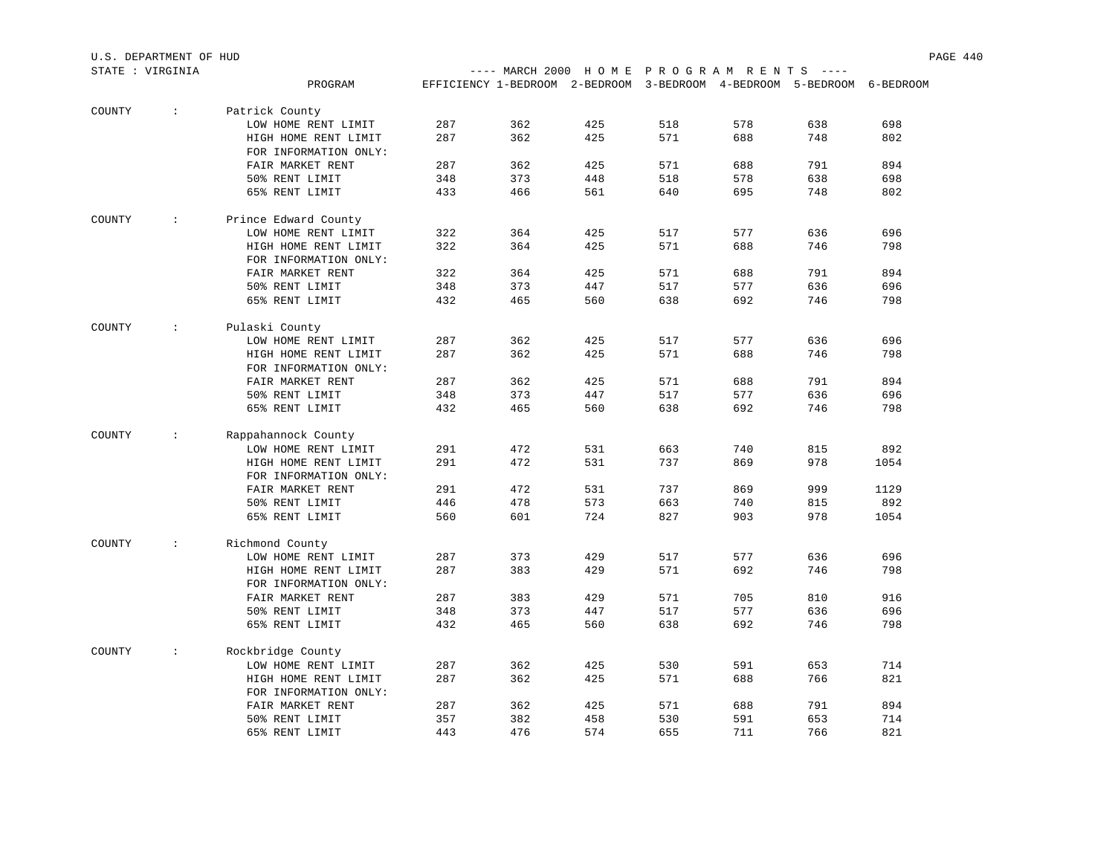|        | STATE : VIRGINIA     |                       |     | ---- MARCH 2000 HOME PROGRAM RENTS ----                                |     |     |     |            |      |
|--------|----------------------|-----------------------|-----|------------------------------------------------------------------------|-----|-----|-----|------------|------|
|        |                      | PROGRAM               |     | EFFICIENCY 1-BEDROOM 2-BEDROOM 3-BEDROOM 4-BEDROOM 5-BEDROOM 6-BEDROOM |     |     |     |            |      |
|        |                      |                       |     |                                                                        |     |     |     |            |      |
| COUNTY | $\sim$               | Patrick County        |     |                                                                        |     |     |     |            |      |
|        |                      | LOW HOME RENT LIMIT   | 287 | 362                                                                    | 425 | 518 | 578 | 638        | 698  |
|        |                      | HIGH HOME RENT LIMIT  | 287 | 362                                                                    | 425 | 571 | 688 | 748        | 802  |
|        |                      | FOR INFORMATION ONLY: |     |                                                                        |     |     |     |            |      |
|        |                      | FAIR MARKET RENT      | 287 | 362                                                                    | 425 | 571 | 688 | 791        | 894  |
|        |                      | 50% RENT LIMIT        | 348 | 373                                                                    | 448 | 518 | 578 | 638        | 698  |
|        |                      | 65% RENT LIMIT        | 433 | 466                                                                    | 561 | 640 | 695 | 748        | 802  |
| COUNTY | $\ddot{\phantom{0}}$ | Prince Edward County  |     |                                                                        |     |     |     |            |      |
|        |                      | LOW HOME RENT LIMIT   | 322 | 364                                                                    | 425 | 517 | 577 | 636        | 696  |
|        |                      | HIGH HOME RENT LIMIT  | 322 | 364                                                                    | 425 | 571 | 688 | 746        | 798  |
|        |                      | FOR INFORMATION ONLY: |     |                                                                        |     |     |     |            |      |
|        |                      | FAIR MARKET RENT      | 322 | 364                                                                    | 425 | 571 | 688 | 791        | 894  |
|        |                      | 50% RENT LIMIT        | 348 | 373                                                                    | 447 | 517 | 577 | 636        | 696  |
|        |                      | 65% RENT LIMIT        | 432 | 465                                                                    | 560 | 638 | 692 | 746        | 798  |
|        |                      |                       |     |                                                                        |     |     |     |            |      |
| COUNTY | $\mathcal{L}$        | Pulaski County        |     |                                                                        |     |     |     |            |      |
|        |                      | LOW HOME RENT LIMIT   | 287 | 362                                                                    | 425 | 517 | 577 | 636        | 696  |
|        |                      | HIGH HOME RENT LIMIT  | 287 | 362                                                                    | 425 | 571 | 688 | 746        | 798  |
|        |                      | FOR INFORMATION ONLY: |     |                                                                        |     |     |     |            |      |
|        |                      | FAIR MARKET RENT      | 287 | 362                                                                    | 425 | 571 | 688 | 791        | 894  |
|        |                      | 50% RENT LIMIT        | 348 | 373                                                                    | 447 | 517 | 577 | 636        | 696  |
|        |                      | 65% RENT LIMIT        | 432 | 465                                                                    | 560 | 638 | 692 | 746        | 798  |
| COUNTY | $\mathcal{L}$        | Rappahannock County   |     |                                                                        |     |     |     |            |      |
|        |                      | LOW HOME RENT LIMIT   | 291 | 472                                                                    | 531 | 663 | 740 | 815        | 892  |
|        |                      | HIGH HOME RENT LIMIT  | 291 | 472                                                                    | 531 | 737 | 869 | 978        | 1054 |
|        |                      | FOR INFORMATION ONLY: |     |                                                                        |     |     |     |            |      |
|        |                      | FAIR MARKET RENT      | 291 | 472                                                                    | 531 | 737 | 869 | 999        | 1129 |
|        |                      | 50% RENT LIMIT        | 446 |                                                                        | 573 | 663 | 740 |            | 892  |
|        |                      |                       | 560 | 478<br>601                                                             | 724 | 827 | 903 | 815<br>978 |      |
|        |                      | 65% RENT LIMIT        |     |                                                                        |     |     |     |            | 1054 |
| COUNTY | $\mathcal{L}$        | Richmond County       |     |                                                                        |     |     |     |            |      |
|        |                      | LOW HOME RENT LIMIT   | 287 | 373                                                                    | 429 | 517 | 577 | 636        | 696  |
|        |                      | HIGH HOME RENT LIMIT  | 287 | 383                                                                    | 429 | 571 | 692 | 746        | 798  |
|        |                      | FOR INFORMATION ONLY: |     |                                                                        |     |     |     |            |      |
|        |                      | FAIR MARKET RENT      | 287 | 383                                                                    | 429 | 571 | 705 | 810        | 916  |
|        |                      | 50% RENT LIMIT        | 348 | 373                                                                    | 447 | 517 | 577 | 636        | 696  |
|        |                      | 65% RENT LIMIT        | 432 | 465                                                                    | 560 | 638 | 692 | 746        | 798  |
| COUNTY | $\sim$               | Rockbridge County     |     |                                                                        |     |     |     |            |      |
|        |                      | LOW HOME RENT LIMIT   | 287 | 362                                                                    | 425 | 530 | 591 | 653        | 714  |
|        |                      | HIGH HOME RENT LIMIT  | 287 | 362                                                                    | 425 | 571 | 688 | 766        | 821  |
|        |                      | FOR INFORMATION ONLY: |     |                                                                        |     |     |     |            |      |
|        |                      | FAIR MARKET RENT      | 287 | 362                                                                    | 425 | 571 | 688 | 791        | 894  |
|        |                      | 50% RENT LIMIT        | 357 | 382                                                                    | 458 | 530 | 591 | 653        | 714  |
|        |                      | 65% RENT LIMIT        | 443 | 476                                                                    | 574 | 655 | 711 | 766        | 821  |
|        |                      |                       |     |                                                                        |     |     |     |            |      |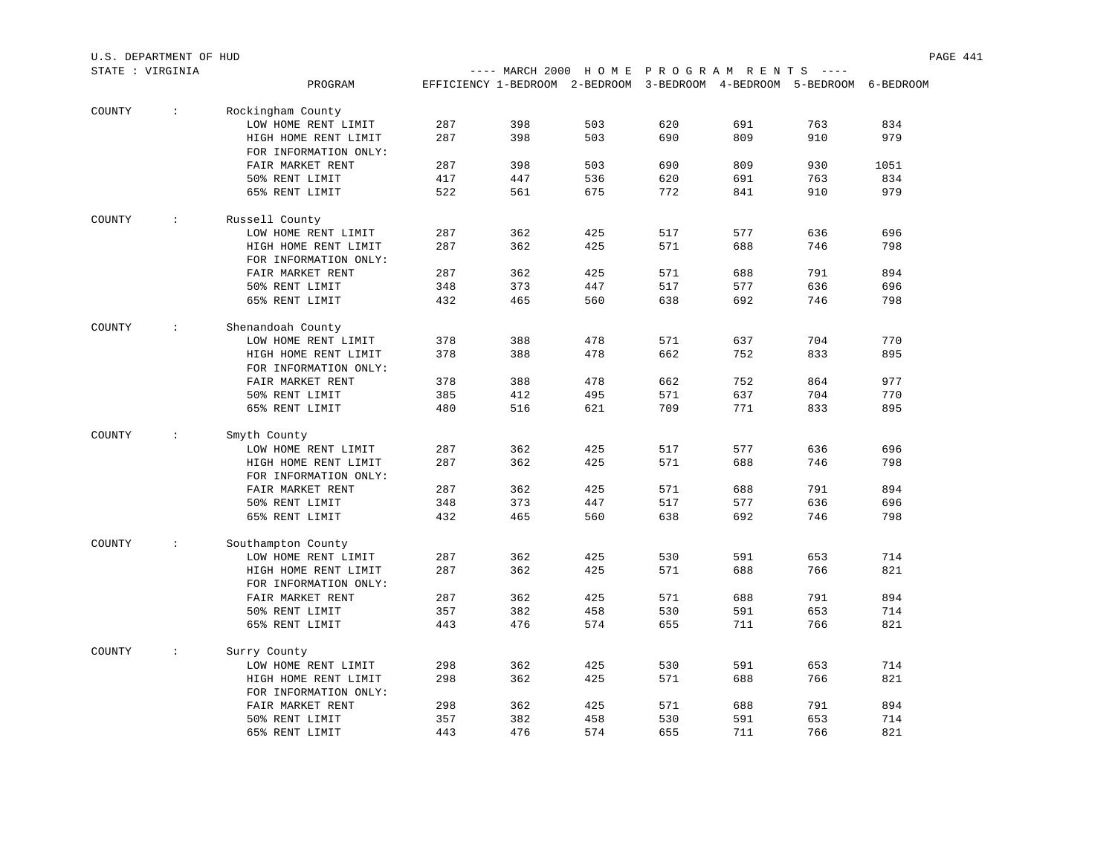| STATE : VIRGINIA |                                                             |                       |     | ---- MARCH 2000 HOME PROGRAM RENTS ----                                |     |     |     |     |      |
|------------------|-------------------------------------------------------------|-----------------------|-----|------------------------------------------------------------------------|-----|-----|-----|-----|------|
|                  |                                                             | PROGRAM               |     | EFFICIENCY 1-BEDROOM 2-BEDROOM 3-BEDROOM 4-BEDROOM 5-BEDROOM 6-BEDROOM |     |     |     |     |      |
| COUNTY           | $\mathcal{X}^{\mathcal{A}}$ and $\mathcal{X}^{\mathcal{A}}$ | Rockingham County     |     |                                                                        |     |     |     |     |      |
|                  |                                                             | LOW HOME RENT LIMIT   | 287 | 398                                                                    | 503 | 620 | 691 | 763 | 834  |
|                  |                                                             | HIGH HOME RENT LIMIT  | 287 | 398                                                                    | 503 | 690 | 809 | 910 | 979  |
|                  |                                                             | FOR INFORMATION ONLY: |     |                                                                        |     |     |     |     |      |
|                  |                                                             | FAIR MARKET RENT      | 287 | 398                                                                    | 503 | 690 | 809 | 930 | 1051 |
|                  |                                                             | 50% RENT LIMIT        | 417 | 447                                                                    | 536 | 620 | 691 | 763 | 834  |
|                  |                                                             | 65% RENT LIMIT        | 522 | 561                                                                    | 675 | 772 | 841 | 910 | 979  |
| COUNTY           | <b>Contractor</b>                                           | Russell County        |     |                                                                        |     |     |     |     |      |
|                  |                                                             | LOW HOME RENT LIMIT   | 287 | 362                                                                    | 425 | 517 | 577 | 636 | 696  |
|                  |                                                             | HIGH HOME RENT LIMIT  | 287 | 362                                                                    | 425 | 571 | 688 | 746 | 798  |
|                  |                                                             | FOR INFORMATION ONLY: |     |                                                                        |     |     |     |     |      |
|                  |                                                             | FAIR MARKET RENT      | 287 | 362                                                                    | 425 | 571 | 688 | 791 | 894  |
|                  |                                                             | 50% RENT LIMIT        | 348 | 373                                                                    | 447 | 517 | 577 | 636 | 696  |
|                  |                                                             | 65% RENT LIMIT        | 432 | 465                                                                    | 560 | 638 | 692 | 746 | 798  |
| COUNTY           | $\sim$                                                      | Shenandoah County     |     |                                                                        |     |     |     |     |      |
|                  |                                                             | LOW HOME RENT LIMIT   | 378 | 388                                                                    | 478 | 571 | 637 | 704 | 770  |
|                  |                                                             | HIGH HOME RENT LIMIT  | 378 | 388                                                                    | 478 | 662 | 752 | 833 | 895  |
|                  |                                                             | FOR INFORMATION ONLY: |     |                                                                        |     |     |     |     |      |
|                  |                                                             | FAIR MARKET RENT      | 378 | 388                                                                    | 478 | 662 | 752 | 864 | 977  |
|                  |                                                             | 50% RENT LIMIT        | 385 | 412                                                                    | 495 | 571 | 637 | 704 | 770  |
|                  |                                                             | 65% RENT LIMIT        | 480 | 516                                                                    | 621 | 709 | 771 | 833 | 895  |
| COUNTY           | $\sim 100$                                                  | Smyth County          |     |                                                                        |     |     |     |     |      |
|                  |                                                             | LOW HOME RENT LIMIT   | 287 | 362                                                                    | 425 | 517 | 577 | 636 | 696  |
|                  |                                                             | HIGH HOME RENT LIMIT  | 287 | 362                                                                    | 425 | 571 | 688 | 746 | 798  |
|                  |                                                             | FOR INFORMATION ONLY: |     |                                                                        |     |     |     |     |      |
|                  |                                                             | FAIR MARKET RENT      | 287 | 362                                                                    | 425 | 571 | 688 | 791 | 894  |
|                  |                                                             | 50% RENT LIMIT        | 348 | 373                                                                    | 447 | 517 | 577 | 636 | 696  |
|                  |                                                             | 65% RENT LIMIT        | 432 | 465                                                                    | 560 | 638 | 692 | 746 | 798  |
| COUNTY           | $\sim 100$                                                  | Southampton County    |     |                                                                        |     |     |     |     |      |
|                  |                                                             | LOW HOME RENT LIMIT   | 287 | 362                                                                    | 425 | 530 | 591 | 653 | 714  |
|                  |                                                             | HIGH HOME RENT LIMIT  | 287 | 362                                                                    | 425 | 571 | 688 | 766 | 821  |
|                  |                                                             | FOR INFORMATION ONLY: |     |                                                                        |     |     |     |     |      |
|                  |                                                             | FAIR MARKET RENT      | 287 | 362                                                                    | 425 | 571 | 688 | 791 | 894  |
|                  |                                                             | 50% RENT LIMIT        | 357 | 382                                                                    | 458 | 530 | 591 | 653 | 714  |
|                  |                                                             | 65% RENT LIMIT        | 443 | 476                                                                    | 574 | 655 | 711 | 766 | 821  |
| COUNTY           | $\mathcal{L}$                                               | Surry County          |     |                                                                        |     |     |     |     |      |
|                  |                                                             | LOW HOME RENT LIMIT   | 298 | 362                                                                    | 425 | 530 | 591 | 653 | 714  |
|                  |                                                             | HIGH HOME RENT LIMIT  | 298 | 362                                                                    | 425 | 571 | 688 | 766 | 821  |
|                  |                                                             | FOR INFORMATION ONLY: |     |                                                                        |     |     |     |     |      |
|                  |                                                             | FAIR MARKET RENT      | 298 | 362                                                                    | 425 | 571 | 688 | 791 | 894  |
|                  |                                                             | 50% RENT LIMIT        | 357 | 382                                                                    | 458 | 530 | 591 | 653 | 714  |
|                  |                                                             | 65% RENT LIMIT        | 443 | 476                                                                    | 574 | 655 | 711 | 766 | 821  |

U.S. DEPARTMENT OF HUD PAGE 441